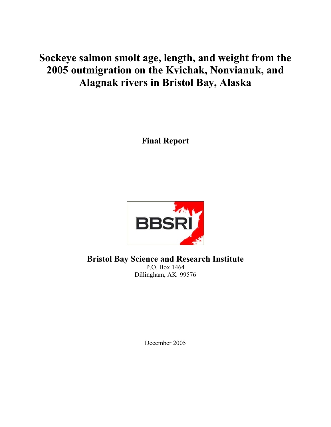# **Sockeye salmon smolt age, length, and weight from the 2005 outmigration on the Kvichak, Nonvianuk, and Alagnak rivers in Bristol Bay, Alaska**

**Final Report** 



**Bristol Bay Science and Research Institute** 

P.O. Box 1464 Dillingham, AK 99576

December 2005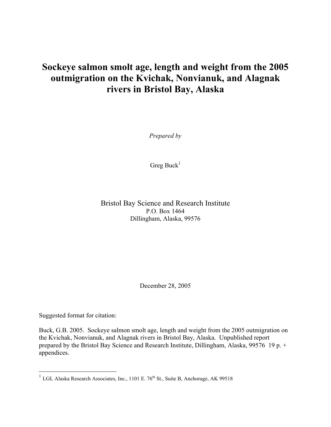## **Sockeye salmon smolt age, length and weight from the 2005 outmigration on the Kvichak, Nonvianuk, and Alagnak rivers in Bristol Bay, Alaska**

*Prepared by* 

Greg Buck<sup>1</sup>

Bristol Bay Science and Research Institute P.O. Box 1464 Dillingham, Alaska, 99576

December 28, 2005

Suggested format for citation:

 $\overline{a}$ 

Buck, G.B. 2005. Sockeye salmon smolt age, length and weight from the 2005 outmigration on the Kvichak, Nonvianuk, and Alagnak rivers in Bristol Bay, Alaska. Unpublished report prepared by the Bristol Bay Science and Research Institute, Dillingham, Alaska, 99576 19 p. + appendices.

<sup>&</sup>lt;sup>1</sup> LGL Alaska Research Associates, Inc., 1101 E. 76<sup>th</sup> St., Suite B, Anchorage, AK 99518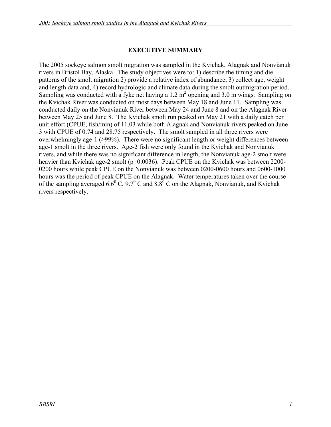## **EXECUTIVE SUMMARY**

The 2005 sockeye salmon smolt migration was sampled in the Kvichak, Alagnak and Nonvianuk rivers in Bristol Bay, Alaska. The study objectives were to: 1) describe the timing and diel patterns of the smolt migration 2) provide a relative index of abundance, 3) collect age, weight and length data and, 4) record hydrologic and climate data during the smolt outmigration period. Sampling was conducted with a fyke net having a  $1.2 \text{ m}^2$  opening and  $3.0 \text{ m}$  wings. Sampling on the Kvichak River was conducted on most days between May 18 and June 11. Sampling was conducted daily on the Nonvianuk River between May 24 and June 8 and on the Alagnak River between May 25 and June 8. The Kvichak smolt run peaked on May 21 with a daily catch per unit effort (CPUE, fish/min) of 11.03 while both Alagnak and Nonvianuk rivers peaked on June 3 with CPUE of 0.74 and 28.75 respectively. The smolt sampled in all three rivers were overwhelmingly age-1 (>99%). There were no significant length or weight differences between age-1 smolt in the three rivers. Age-2 fish were only found in the Kvichak and Nonvianuk rivers, and while there was no significant difference in length, the Nonvianuk age-2 smolt were heavier than Kvichak age-2 smolt (p=0.0036). Peak CPUE on the Kvichak was between 2200-0200 hours while peak CPUE on the Nonvianuk was between 0200-0600 hours and 0600-1000 hours was the period of peak CPUE on the Alagnak. Water temperatures taken over the course of the sampling averaged 6.6<sup>0</sup> C, 9.7<sup>0</sup> C and 8.8<sup>0</sup> C on the Alagnak, Nonvianuk, and Kvichak rivers respectively.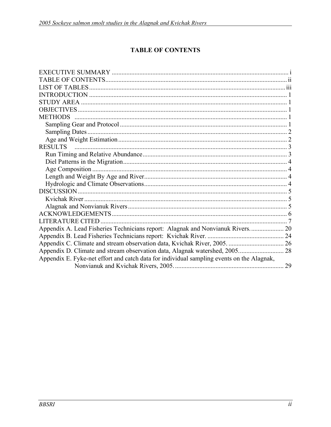## **TABLE OF CONTENTS**

| Appendix A. Lead Fisheries Technicians report: Alagnak and Nonvianuk Rivers 20            |  |
|-------------------------------------------------------------------------------------------|--|
|                                                                                           |  |
|                                                                                           |  |
|                                                                                           |  |
| Appendix E. Fyke-net effort and catch data for individual sampling events on the Alagnak, |  |
|                                                                                           |  |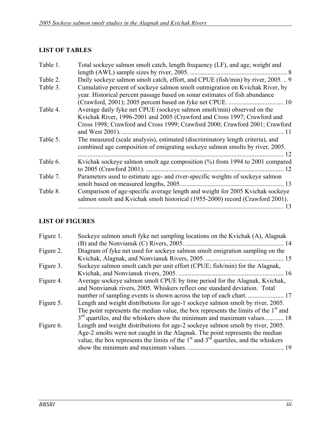## **LIST OF TABLES**

| Table 1. | Total sockeye salmon smolt catch, length frequency (LF), and age, weight and                                                                                         |
|----------|----------------------------------------------------------------------------------------------------------------------------------------------------------------------|
|          |                                                                                                                                                                      |
| Table 2. | Daily sockeye salmon smolt catch, effort, and CPUE (fish/min) by river, 2005 9                                                                                       |
| Table 3. | Cumulative percent of sockeye salmon smolt outmigration on Kvichak River, by<br>year. Historical percent passage based on sonar estimates of fish abundance          |
|          |                                                                                                                                                                      |
| Table 4. | Average daily fyke net CPUE (sockeye salmon smolt/min) observed on the<br>Kvichak River, 1996-2001 and 2005 (Crawford and Cross 1997; Crawford and                   |
|          | Cross 1998; Crawford and Cross 1999; Crawford 2000; Crawford 2001; Crawford<br>and West 2001).<br>-11                                                                |
| Table 5. | The measured (scale analysis), estimated (discriminatory length criteria), and<br>combined age composition of emigrating sockeye salmon smolts by river, 2005.<br>12 |
| Table 6. | Kvichak sockeye salmon smolt age composition (%) from 1994 to 2001 compared<br>12                                                                                    |
| Table 7. | Parameters used to estimate age- and river-specific weights of sockeye salmon<br>smolt based on measured lengths, 2005<br>13                                         |
| Table 8. | Comparison of age-specific average length and weight for 2005 Kvichak sockeye<br>salmon smolt and Kvichak smolt historical (1955-2000) record (Crawford 2001).       |
|          | 13                                                                                                                                                                   |

## **LIST OF FIGURES**

| Figure 1. | Sockeye salmon smolt fyke net sampling locations on the Kvichak (A), Alagnak                                                                                                                                                                              |
|-----------|-----------------------------------------------------------------------------------------------------------------------------------------------------------------------------------------------------------------------------------------------------------|
| Figure 2. | Diagram of fyke net used for sockeye salmon smolt emigration sampling on the                                                                                                                                                                              |
|           |                                                                                                                                                                                                                                                           |
| Figure 3. | Sockeye salmon smolt catch per unit effort (CPUE; fish/min) for the Alagnak,                                                                                                                                                                              |
|           | 16                                                                                                                                                                                                                                                        |
| Figure 4. | Average sockeye salmon smolt CPUE by time period for the Alagnak, Kvichak,<br>and Nonvianuk rivers, 2005. Whiskers reflect one standard deviation. Total                                                                                                  |
|           |                                                                                                                                                                                                                                                           |
| Figure 5. | Length and weight distributions for age-1 sockeye salmon smolt by river, 2005.                                                                                                                                                                            |
|           | The point represents the median value, the box represents the limits of the 1 <sup>st</sup> and                                                                                                                                                           |
|           | $3rd$ quartiles, and the whiskers show the minimum and maximum values 18                                                                                                                                                                                  |
| Figure 6. | Length and weight distributions for age-2 sockeye salmon smolt by river, 2005.<br>Age-2 smolts were not caught in the Alagnak. The point represents the median<br>value, the box represents the limits of the $1st$ and $3rd$ quartiles, and the whiskers |
|           | 19                                                                                                                                                                                                                                                        |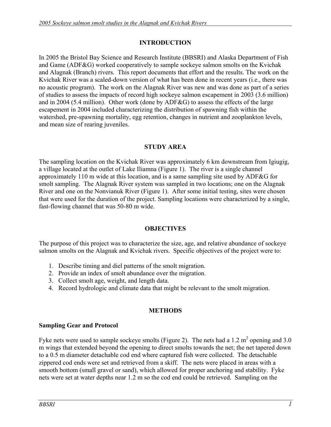## **INTRODUCTION**

In 2005 the Bristol Bay Science and Research Institute (BBSRI) and Alaska Department of Fish and Game (ADF&G) worked cooperatively to sample sockeye salmon smolts on the Kvichak and Alagnak (Branch) rivers. This report documents that effort and the results. The work on the Kvichak River was a scaled-down version of what has been done in recent years (i.e., there was no acoustic program). The work on the Alagnak River was new and was done as part of a series of studies to assess the impacts of record high sockeye salmon escapement in 2003 (3.6 million) and in 2004 (5.4 million). Other work (done by ADF&G) to assess the effects of the large escapement in 2004 included characterizing the distribution of spawning fish within the watershed, pre-spawning mortality, egg retention, changes in nutrient and zooplankton levels, and mean size of rearing juveniles.

## **STUDY AREA**

The sampling location on the Kvichak River was approximately 6 km downstream from Igiugig, a village located at the outlet of Lake Iliamna (Figure 1). The river is a single channel approximately 110 m wide at this location, and is a same sampling site used by ADF&G for smolt sampling. The Alagnak River system was sampled in two locations; one on the Alagnak River and one on the Nonvianuk River (Figure 1). After some initial testing, sites were chosen that were used for the duration of the project. Sampling locations were characterized by a single, fast-flowing channel that was 50-80 m wide.

## **OBJECTIVES**

The purpose of this project was to characterize the size, age, and relative abundance of sockeye salmon smolts on the Alagnak and Kvichak rivers. Specific objectives of the project were to:

- 1. Describe timing and diel patterns of the smolt migration.
- 2. Provide an index of smolt abundance over the migration.
- 3. Collect smolt age, weight, and length data.
- 4. Record hydrologic and climate data that might be relevant to the smolt migration.

## **METHODS**

## **Sampling Gear and Protocol**

Fyke nets were used to sample sockeye smolts (Figure 2). The nets had a 1.2  $m^2$  opening and 3.0 m wings that extended beyond the opening to direct smolts towards the net; the net tapered down to a 0.5 m diameter detachable cod end where captured fish were collected. The detachable zippered cod ends were set and retrieved from a skiff. The nets were placed in areas with a smooth bottom (small gravel or sand), which allowed for proper anchoring and stability. Fyke nets were set at water depths near 1.2 m so the cod end could be retrieved. Sampling on the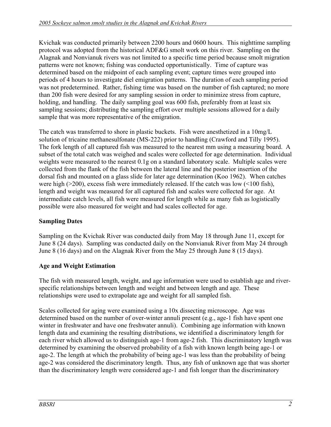Kvichak was conducted primarily between 2200 hours and 0600 hours. This nighttime sampling protocol was adopted from the historical ADF&G smolt work on this river. Sampling on the Alagnak and Nonvianuk rivers was not limited to a specific time period because smolt migration patterns were not known; fishing was conducted opportunistically. Time of capture was determined based on the midpoint of each sampling event; capture times were grouped into periods of 4 hours to investigate diel emigration patterns. The duration of each sampling period was not predetermined. Rather, fishing time was based on the number of fish captured; no more than 200 fish were desired for any sampling session in order to minimize stress from capture, holding, and handling. The daily sampling goal was 600 fish, preferably from at least six sampling sessions; distributing the sampling effort over multiple sessions allowed for a daily sample that was more representative of the emigration.

The catch was transferred to shore in plastic buckets. Fish were anesthetized in a 10mg/L solution of tricaine methanesulfonate (MS-222) prior to handling (Crawford and Tilly 1995). The fork length of all captured fish was measured to the nearest mm using a measuring board. A subset of the total catch was weighed and scales were collected for age determination. Individual weights were measured to the nearest 0.1g on a standard laboratory scale. Multiple scales were collected from the flank of the fish between the lateral line and the posterior insertion of the dorsal fish and mounted on a glass slide for later age determination (Koo 1962). When catches were high ( $>200$ ), excess fish were immediately released. If the catch was low ( $<100$  fish), length and weight was measured for all captured fish and scales were collected for age. At intermediate catch levels, all fish were measured for length while as many fish as logistically possible were also measured for weight and had scales collected for age.

## **Sampling Dates**

Sampling on the Kvichak River was conducted daily from May 18 through June 11, except for June 8 (24 days). Sampling was conducted daily on the Nonvianuk River from May 24 through June 8 (16 days) and on the Alagnak River from the May 25 through June 8 (15 days).

## **Age and Weight Estimation**

The fish with measured length, weight, and age information were used to establish age and riverspecific relationships between length and weight and between length and age. These relationships were used to extrapolate age and weight for all sampled fish.

Scales collected for aging were examined using a 10x dissecting microscope. Age was determined based on the number of over-winter annuli present (e.g., age-1 fish have spent one winter in freshwater and have one freshwater annuli). Combining age information with known length data and examining the resulting distributions, we identified a discriminatory length for each river which allowed us to distinguish age-1 from age-2 fish. This discriminatory length was determined by examining the observed probability of a fish with known length being age-1 or age-2. The length at which the probability of being age-1 was less than the probability of being age-2 was considered the discriminatory length. Thus, any fish of unknown age that was shorter than the discriminatory length were considered age-1 and fish longer than the discriminatory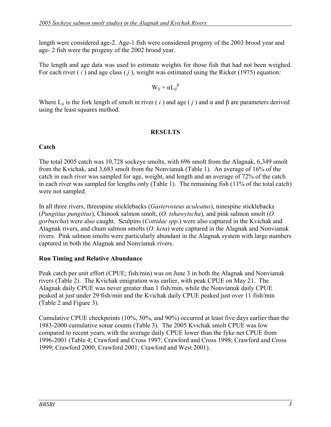length were considered age-2. Age-1 fish were considered progeny of the 2003 brood year and age- 2 fish were the progeny of the 2002 brood year.

The length and age data was used to estimate weights for those fish that had not been weighed. For each river ( *i* ) and age class ( *j* ), weight was estimated using the Ricker (1975) equation:

 $W_{ij} = \alpha L_{ij}^{\beta}$ 

Where  $L_{ii}$  is the fork length of smolt in river (*i*) and age (*j*) and  $\alpha$  and  $\beta$  are parameters derived using the least squares method.

## **RESULTS**

## **Catch**

The total 2005 catch was 10,728 sockeye smolts, with 696 smolt from the Alagnak, 6,349 smolt from the Kvichak, and 3,683 smolt from the Nonvianuk (Table 1). An average of 16% of the catch in each river was sampled for age, weight, and length and an average of 72% of the catch in each river was sampled for lengths only (Table 1). The remaining fish (11% of the total catch) were not sampled.

In all three rivers, threespine sticklebacks (*Gasterosteus aculeatus*), ninespine sticklebacks (*Pungitius pungitius*), Chinook salmon smolt, (*O. tshawytscha*), and pink salmon smolt (*O. gorbuscha*) were also caught. Sculpins (*Cottidae spp*.) were also captured in the Kvichak and Alagnak rivers, and chum salmon smolts (*O. keta*) were captured in the Alagnak and Nonvianuk rivers. Pink salmon smolts were particularly abundant in the Alagnak system with large numbers captured in both the Alagnak and Nonvianuk rivers.

## **Run Timing and Relative Abundance**

Peak catch per unit effort (CPUE; fish/min) was on June 3 in both the Alagnak and Nonvianuk rivers (Table 2). The Kvichak emigration was earlier, with peak CPUE on May 21. The Alagnak daily CPUE was never greater than 1 fish/min, while the Nonvianuk daily CPUE peaked at just under 29 fish/min and the Kvichak daily CPUE peaked just over 11 fish/min (Table 2 and Figure 3).

Cumulative CPUE checkpoints (10%, 50%, and 90%) occurred at least five days earlier than the 1983-2000 cumulative sonar counts (Table 3). The 2005 Kvichak smolt CPUE was low compared to recent years, with the average daily CPUE lower than the fyke net CPUE from 1996-2001 (Table 4; Crawford and Cross 1997; Crawford and Cross 1998; Crawford and Cross 1999; Crawford 2000; Crawford 2001; Crawford and West 2001).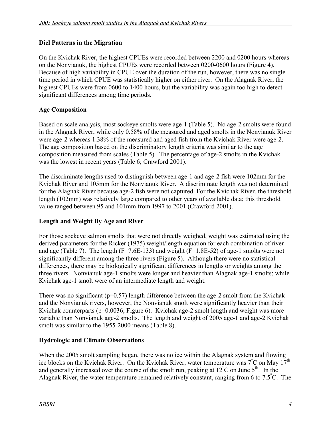## **Diel Patterns in the Migration**

On the Kvichak River, the highest CPUEs were recorded between 2200 and 0200 hours whereas on the Nonvianuk, the highest CPUEs were recorded between 0200-0600 hours (Figure 4). Because of high variability in CPUE over the duration of the run, however, there was no single time period in which CPUE was statistically higher on either river. On the Alagnak River, the highest CPUEs were from 0600 to 1400 hours, but the variability was again too high to detect significant differences among time periods.

## **Age Composition**

Based on scale analysis, most sockeye smolts were age-1 (Table 5). No age-2 smolts were found in the Alagnak River, while only 0.58% of the measured and aged smolts in the Nonvianuk River were age-2 whereas 1.38% of the measured and aged fish from the Kvichak River were age-2. The age composition based on the discriminatory length criteria was similar to the age composition measured from scales (Table 5). The percentage of age-2 smolts in the Kvichak was the lowest in recent years (Table 6; Crawford 2001).

The discriminate lengths used to distinguish between age-1 and age-2 fish were 102mm for the Kvichak River and 105mm for the Nonvianuk River. A discriminate length was not determined for the Alagnak River because age-2 fish were not captured. For the Kvichak River, the threshold length (102mm) was relatively large compared to other years of available data; this threshold value ranged between 95 and 101mm from 1997 to 2001 (Crawford 2001).

## **Length and Weight By Age and River**

For those sockeye salmon smolts that were not directly weighed, weight was estimated using the derived parameters for the Ricker (1975) weight/length equation for each combination of river and age (Table 7). The length ( $F=7.6E-133$ ) and weight ( $F=1.8E-52$ ) of age-1 smolts were not significantly different among the three rivers (Figure 5). Although there were no statistical differences, there may be biologically significant differences in lengths or weights among the three rivers. Nonvianuk age-1 smolts were longer and heavier than Alagnak age-1 smolts; while Kvichak age-1 smolt were of an intermediate length and weight.

There was no significant ( $p=0.57$ ) length difference between the age-2 smolt from the Kvichak and the Nonvianuk rivers, however, the Nonvianuk smolt were significantly heavier than their Kvichak counterparts (p=0.0036; Figure 6). Kvichak age-2 smolt length and weight was more variable than Nonvianuk age-2 smolts. The length and weight of 2005 age-1 and age-2 Kvichak smolt was similar to the 1955-2000 means (Table 8).

## **Hydrologic and Climate Observations**

When the 2005 smolt sampling began, there was no ice within the Alagnak system and flowing ice blocks on the Kvichak River. On the Kvichak River, water temperature was  $\vec{7}^{\,c}$  on May  $17^{\text{th}}$ and generally increased over the course of the smolt run, peaking at  $12^{\circ}$ C on June 5<sup>th</sup>. In the Alagnak River, the water temperature remained relatively constant, ranging from 6 to 7.5° C. The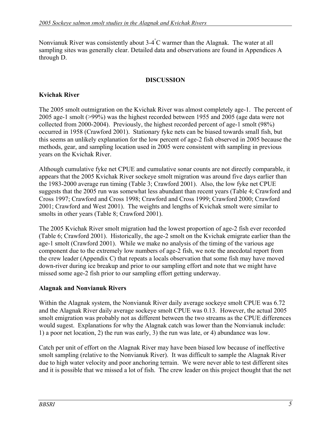Nonvianuk River was consistently about 3-4° C warmer than the Alagnak. The water at all sampling sites was generally clear. Detailed data and observations are found in Appendices A through D.

### **DISCUSSION**

## **Kvichak River**

The 2005 smolt outmigration on the Kvichak River was almost completely age-1. The percent of 2005 age-1 smolt (>99%) was the highest recorded between 1955 and 2005 (age data were not collected from 2000-2004). Previously, the highest recorded percent of age-1 smolt (98%) occurred in 1958 (Crawford 2001). Stationary fyke nets can be biased towards small fish, but this seems an unlikely explanation for the low percent of age-2 fish observed in 2005 because the methods, gear, and sampling location used in 2005 were consistent with sampling in previous years on the Kvichak River.

Although cumulative fyke net CPUE and cumulative sonar counts are not directly comparable, it appears that the 2005 Kvichak River sockeye smolt migration was around five days earlier than the 1983-2000 average run timing (Table 3; Crawford 2001). Also, the low fyke net CPUE suggests that the 2005 run was somewhat less abundant than recent years (Table 4; Crawford and Cross 1997; Crawford and Cross 1998; Crawford and Cross 1999; Crawford 2000; Crawford 2001; Crawford and West 2001). The weights and lengths of Kvichak smolt were similar to smolts in other years (Table 8; Crawford 2001).

The 2005 Kvichak River smolt migration had the lowest proportion of age-2 fish ever recorded (Table 6; Crawford 2001). Historically, the age-2 smolt on the Kvichak emigrate earlier than the age-1 smolt (Crawford 2001). While we make no analysis of the timing of the various age component due to the extremely low numbers of age-2 fish, we note the anecdotal report from the crew leader (Appendix C) that repeats a locals observation that some fish may have moved down-river during ice breakup and prior to our sampling effort and note that we might have missed some age-2 fish prior to our sampling effort getting underway.

## **Alagnak and Nonvianuk Rivers**

Within the Alagnak system, the Nonvianuk River daily average sockeye smolt CPUE was 6.72 and the Alagnak River daily average sockeye smolt CPUE was 0.13. However, the actual 2005 smolt emigration was probably not as different between the two streams as the CPUE differences would sugest. Explanations for why the Alagnak catch was lower than the Nonvianuk include: 1) a poor net location, 2) the run was early, 3) the run was late, or 4) abundance was low.

Catch per unit of effort on the Alagnak River may have been biased low because of ineffective smolt sampling (relative to the Nonvianuk River). It was difficult to sample the Alagnak River due to high water velocity and poor anchoring terrain. We were never able to test different sites and it is possible that we missed a lot of fish. The crew leader on this project thought that the net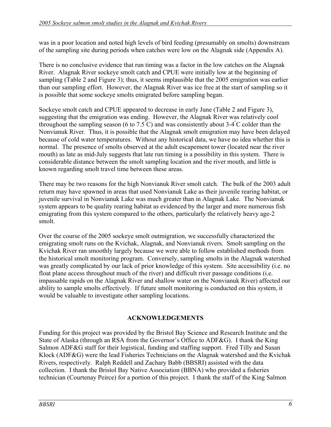was in a poor location and noted high levels of bird feeding (presumably on smolts) downstream of the sampling site during periods when catches were low on the Alagnak side (Appendix A).

There is no conclusive evidence that run timing was a factor in the low catches on the Alagnak River. Alagnak River sockeye smolt catch and CPUE were initially low at the beginning of sampling (Table 2 and Figure 3); thus, it seems implausible that the 2005 emigration was earlier than our sampling effort. However, the Alagnak River was ice free at the start of sampling so it is possible that some sockeye smolts emigrated before sampling began.

Sockeye smolt catch and CPUE appeared to decrease in early June (Table 2 and Figure 3), suggesting that the emigration was ending. However, the Alagnak River was relatively cool throughout the sampling season (6 to 7.5°C) and was consistently about 3-4°C colder than the Nonvianuk River. Thus, it is possible that the Alagnak smolt emigration may have been delayed because of cold water temperatures. Without any historical data, we have no idea whether this is normal. The presence of smolts observed at the adult escapement tower (located near the river mouth) as late as mid-July suggests that late run timing is a possibility in this system. There is considerable distance between the smolt sampling location and the river mouth, and little is known regarding smolt travel time between these areas.

There may be two reasons for the high Nonvianuk River smolt catch. The bulk of the 2003 adult return may have spawned in areas that used Nonvianuk Lake as their juvenile rearing habitat, or juvenile survival in Nonvianuk Lake was much greater than in Alagnak Lake. The Nonvianuk system appears to be quality rearing habitat as evidenced by the larger and more numerous fish emigrating from this system compared to the others, particularly the relatively heavy age-2 smolt.

Over the course of the 2005 sockeye smolt outmigration, we successfully characterized the emigrating smolt runs on the Kvichak, Alagnak, and Nonvianuk rivers. Smolt sampling on the Kvichak River ran smoothly largely because we were able to follow established methods from the historical smolt monitoring program. Conversely, sampling smolts in the Alagnak watershed was greatly complicated by our lack of prior knowledge of this system. Site accessibility (i.e. no float plane access throughout much of the river) and difficult river passage conditions (i.e. impassable rapids on the Alagnak River and shallow water on the Nonvianuk River) affected our ability to sample smolts effectively. If future smolt monitoring is conducted on this system, it would be valuable to investigate other sampling locations.

## **ACKNOWLEDGEMENTS**

Funding for this project was provided by the Bristol Bay Science and Research Institute and the State of Alaska (through an RSA from the Governor's Office to ADF&G). I thank the King Salmon ADF&G staff for their logistical, funding and staffing support. Fred Tilly and Susan Klock (ADF&G) were the lead Fisheries Technicians on the Alagnak watershed and the Kvichak Rivers, respectively. Ralph Reddell and Zachary Babb (BBSRI) assisted with the data collection. I thank the Bristol Bay Native Association (BBNA) who provided a fisheries technician (Courtenay Peirce) for a portion of this project. I thank the staff of the King Salmon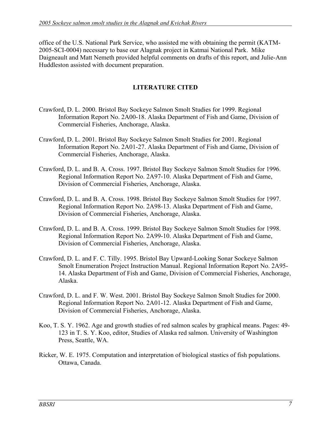office of the U.S. National Park Service, who assisted me with obtaining the permit (KATM-2005-SCI-0004) necessary to base our Alagnak project in Katmai National Park. Mike Daigneault and Matt Nemeth provided helpful comments on drafts of this report, and Julie-Ann Huddleston assisted with document preparation.

## **LITERATURE CITED**

- Crawford, D. L. 2000. Bristol Bay Sockeye Salmon Smolt Studies for 1999. Regional Information Report No. 2A00-18. Alaska Department of Fish and Game, Division of Commercial Fisheries, Anchorage, Alaska.
- Crawford, D. L. 2001. Bristol Bay Sockeye Salmon Smolt Studies for 2001. Regional Information Report No. 2A01-27. Alaska Department of Fish and Game, Division of Commercial Fisheries, Anchorage, Alaska.
- Crawford, D. L. and B. A. Cross. 1997. Bristol Bay Sockeye Salmon Smolt Studies for 1996. Regional Information Report No. 2A97-10. Alaska Department of Fish and Game, Division of Commercial Fisheries, Anchorage, Alaska.
- Crawford, D. L. and B. A. Cross. 1998. Bristol Bay Sockeye Salmon Smolt Studies for 1997. Regional Information Report No. 2A98-13. Alaska Department of Fish and Game, Division of Commercial Fisheries, Anchorage, Alaska.
- Crawford, D. L. and B. A. Cross. 1999. Bristol Bay Sockeye Salmon Smolt Studies for 1998. Regional Information Report No. 2A99-10. Alaska Department of Fish and Game, Division of Commercial Fisheries, Anchorage, Alaska.
- Crawford, D. L. and F. C. Tilly. 1995. Bristol Bay Upward-Looking Sonar Sockeye Salmon Smolt Enumeration Project Instruction Manual. Regional Information Report No. 2A95- 14. Alaska Department of Fish and Game, Division of Commercial Fisheries, Anchorage, Alaska.
- Crawford, D. L. and F. W. West. 2001. Bristol Bay Sockeye Salmon Smolt Studies for 2000. Regional Information Report No. 2A01-12. Alaska Department of Fish and Game, Division of Commercial Fisheries, Anchorage, Alaska.
- Koo, T. S. Y. 1962. Age and growth studies of red salmon scales by graphical means. Pages: 49- 123 in T. S. Y. Koo, editor, Studies of Alaska red salmon. University of Washington Press, Seattle, WA.
- Ricker, W. E. 1975. Computation and interpretation of biological stastics of fish populations. Ottawa, Canada.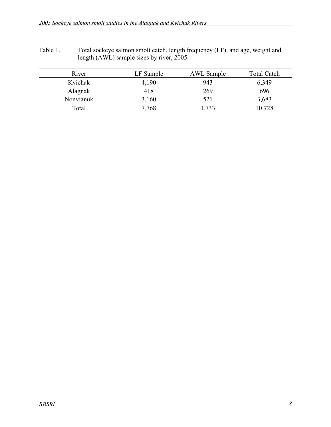Table 1. Total sockeye salmon smolt catch, length frequency (LF), and age, weight and length (AWL) sample sizes by river, 2005.

| River     | LF Sample | <b>AWL</b> Sample | <b>Total Catch</b> |
|-----------|-----------|-------------------|--------------------|
| Kvichak   | 4,190     | 943               | 6,349              |
| Alagnak   | 418       | 269               | 696                |
| Nonvianuk | 3,160     | 521               | 3,683              |
| Total     | 7,768     | ,733              | 10,728             |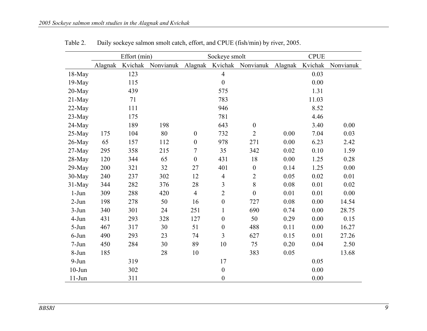|           |         | Effort (min) |           |                  | Sockeye smolt    |                   |         | <b>CPUE</b> |           |
|-----------|---------|--------------|-----------|------------------|------------------|-------------------|---------|-------------|-----------|
|           | Alagnak | Kvichak      | Nonvianuk | Alagnak          |                  | Kvichak Nonvianuk | Alagnak | Kvichak     | Nonvianuk |
| $18-May$  |         | 123          |           |                  | $\overline{4}$   |                   |         | 0.03        |           |
| $19-May$  |         | 115          |           |                  | $\boldsymbol{0}$ |                   |         | 0.00        |           |
| $20$ -May |         | 439          |           |                  | 575              |                   |         | 1.31        |           |
| $21-May$  |         | 71           |           |                  | 783              |                   |         | 11.03       |           |
| 22-May    |         | 111          |           |                  | 946              |                   |         | 8.52        |           |
| $23-May$  |         | 175          |           |                  | 781              |                   |         | 4.46        |           |
| 24-May    |         | 189          | 198       |                  | 643              | $\boldsymbol{0}$  |         | 3.40        | 0.00      |
| $25-May$  | 175     | 104          | 80        | $\boldsymbol{0}$ | 732              | $\overline{2}$    | 0.00    | 7.04        | 0.03      |
| 26-May    | 65      | 157          | 112       | $\boldsymbol{0}$ | 978              | 271               | 0.00    | 6.23        | 2.42      |
| 27-May    | 295     | 358          | 215       | $\tau$           | 35               | 342               | 0.02    | 0.10        | 1.59      |
| 28-May    | 120     | 344          | 65        | $\boldsymbol{0}$ | 431              | 18                | 0.00    | 1.25        | 0.28      |
| $29$ -May | 200     | 321          | 32        | 27               | 401              | $\boldsymbol{0}$  | 0.14    | 1.25        | 0.00      |
| 30-May    | 240     | 237          | 302       | 12               | $\overline{4}$   | $\overline{2}$    | 0.05    | 0.02        | 0.01      |
| 31-May    | 344     | 282          | 376       | 28               | 3                | 8                 | 0.08    | 0.01        | 0.02      |
| $1-Jun$   | 309     | 288          | 420       | $\overline{4}$   | $\sqrt{2}$       | $\mathbf{0}$      | 0.01    | 0.01        | 0.00      |
| $2-Jun$   | 198     | 278          | 50        | 16               | $\boldsymbol{0}$ | 727               | 0.08    | 0.00        | 14.54     |
| $3-Jun$   | 340     | 301          | 24        | 251              | $\mathbf{1}$     | 690               | 0.74    | 0.00        | 28.75     |
| 4-Jun     | 431     | 293          | 328       | 127              | $\boldsymbol{0}$ | 50                | 0.29    | 0.00        | 0.15      |
| 5-Jun     | 467     | 317          | 30        | 51               | $\boldsymbol{0}$ | 488               | 0.11    | 0.00        | 16.27     |
| $6$ -Jun  | 490     | 293          | 23        | 74               | $\overline{3}$   | 627               | 0.15    | 0.01        | 27.26     |
| $7-Jun$   | 450     | 284          | 30        | 89               | 10               | 75                | 0.20    | 0.04        | 2.50      |
| 8-Jun     | 185     |              | 28        | 10               |                  | 383               | 0.05    |             | 13.68     |
| $9-Jun$   |         | 319          |           |                  | 17               |                   |         | 0.05        |           |
| $10$ -Jun |         | 302          |           |                  | $\boldsymbol{0}$ |                   |         | 0.00        |           |
| $11-Jun$  |         | 311          |           |                  | $\boldsymbol{0}$ |                   |         | 0.00        |           |

Table 2. Daily sockeye salmon smolt catch, effort, and CPUE (fish/min) by river, 2005.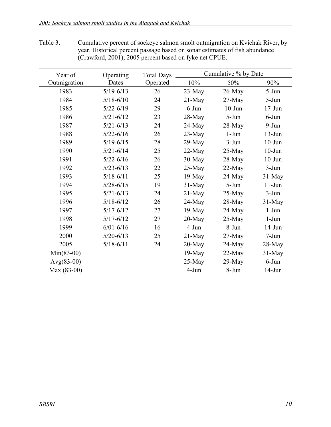| Year of      | Operating<br><b>Total Days</b> |          | Cumulative % by Date |           |            |
|--------------|--------------------------------|----------|----------------------|-----------|------------|
| Outmigration | Dates                          | Operated | 10%                  | 50%       | 90%        |
| 1983         | $5/19 - 6/13$                  | 26       | $23$ -May            | $26$ -May | $5-Jun$    |
| 1984         | $5/18 - 6/10$                  | 24       | $21$ -May            | $27$ -May | $5-Jun$    |
| 1985         | $5/22 - 6/19$                  | 29       | $6$ -Jun             | $10$ -Jun | $17 - Jun$ |
| 1986         | $5/21 - 6/12$                  | 23       | 28-May               | $5-Jun$   | $6$ -Jun   |
| 1987         | $5/21 - 6/13$                  | 24       | 24-May               | $28$ -May | $9-Jun$    |
| 1988         | $5/22 - 6/16$                  | 26       | $23$ -May            | $1-Jun$   | $13-Jun$   |
| 1989         | $5/19 - 6/15$                  | 28       | $29$ -May            | $3-Jun$   | $10$ -Jun  |
| 1990         | $5/21 - 6/14$                  | 25       | $22-May$             | $25$ -May | $10$ -Jun  |
| 1991         | $5/22 - 6/16$                  | 26       | $30$ -May            | $28-May$  | $10$ -Jun  |
| 1992         | $5/23 - 6/13$                  | 22       | $25$ -May            | $22$ -May | $3-Jun$    |
| 1993         | $5/18 - 6/11$                  | 25       | $19-May$             | $24$ -May | $31$ -May  |
| 1994         | $5/28 - 6/15$                  | 19       | $31$ -May            | $5-Jun$   | $11-Jun$   |
| 1995         | $5/21 - 6/13$                  | 24       | $21$ -May            | $25$ -May | $3-Jun$    |
| 1996         | $5/18 - 6/12$                  | 26       | 24-May               | $28$ -May | $31$ -May  |
| 1997         | $5/17 - 6/12$                  | 27       | $19$ -May            | $24$ -May | $1-Jun$    |
| 1998         | $5/17 - 6/12$                  | 27       | $20$ -May            | $25-May$  | $1-Jun$    |
| 1999         | $6/01 - 6/16$                  | 16       | $4-Jun$              | 8-Jun     | $14$ -Jun  |
| 2000         | $5/20 - 6/13$                  | 25       | $21$ -May            | $27$ -May | $7-Jun$    |
| 2005         | $5/18 - 6/11$                  | 24       | $20$ -May            | $24$ -May | $28$ -May  |
| $Min(83-00)$ |                                |          | $19-May$             | $22-May$  | $31-May$   |
| $Avg(83-00)$ |                                |          | 25-May               | $29$ -May | $6$ -Jun   |
| Max (83-00)  |                                |          | $4-Jun$              | 8-Jun     | $14$ -Jun  |

Table 3. Cumulative percent of sockeye salmon smolt outmigration on Kvichak River, by year. Historical percent passage based on sonar estimates of fish abundance (Crawford, 2001); 2005 percent based on fyke net CPUE.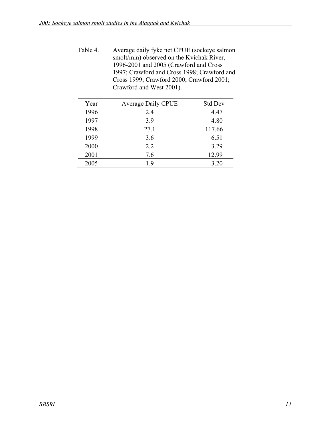| Table 4. | Average daily fyke net CPUE (sockeye salmon |
|----------|---------------------------------------------|
|          | smolt/min) observed on the Kvichak River,   |
|          | 1996-2001 and 2005 (Crawford and Cross      |
|          | 1997; Crawford and Cross 1998; Crawford and |
|          | Cross 1999; Crawford 2000; Crawford 2001;   |
|          | Crawford and West 2001).                    |

| Year | <b>Average Daily CPUE</b> | <b>Std Dev</b> |
|------|---------------------------|----------------|
| 1996 | 2.4                       | 4.47           |
| 1997 | 3.9                       | 4.80           |
| 1998 | 27.1                      | 117.66         |
| 1999 | 3.6                       | 6.51           |
| 2000 | 2.2                       | 3.29           |
| 2001 | 7.6                       | 12.99          |
| 2005 | 1.9                       | 3.20           |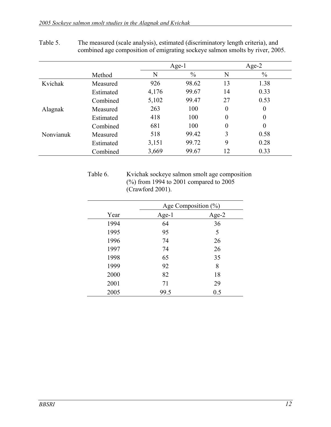|           |           |       | $Age-1$       |                | Age-2            |  |
|-----------|-----------|-------|---------------|----------------|------------------|--|
|           | Method    | N     | $\frac{0}{0}$ | N              | $\frac{0}{0}$    |  |
| Kvichak   | Measured  | 926   | 98.62         | 13             | 1.38             |  |
|           | Estimated | 4,176 | 99.67         | 14             | 0.33             |  |
|           | Combined  | 5,102 | 99.47         | 27             | 0.53             |  |
| Alagnak   | Measured  | 263   | 100           | $\overline{0}$ | $\theta$         |  |
|           | Estimated | 418   | 100           | $\overline{0}$ | $\theta$         |  |
|           | Combined  | 681   | 100           | $\overline{0}$ | $\boldsymbol{0}$ |  |
| Nonvianuk | Measured  | 518   | 99.42         | 3              | 0.58             |  |
|           | Estimated | 3,151 | 99.72         | 9              | 0.28             |  |
|           | Combined  | 3,669 | 99.67         | 12             | 0.33             |  |

## Table 5. The measured (scale analysis), estimated (discriminatory length criteria), and combined age composition of emigrating sockeye salmon smolts by river, 2005.

Table 6. Kvichak sockeye salmon smolt age composition (%) from 1994 to 2001 compared to 2005 (Crawford 2001).

|      | Age Composition $(\%)$ |       |  |  |
|------|------------------------|-------|--|--|
| Year | Age- $1$               | Age-2 |  |  |
| 1994 | 64                     | 36    |  |  |
| 1995 | 95                     | 5     |  |  |
| 1996 | 74                     | 26    |  |  |
| 1997 | 74                     | 26    |  |  |
| 1998 | 65                     | 35    |  |  |
| 1999 | 92                     | 8     |  |  |
| 2000 | 82                     | 18    |  |  |
| 2001 | 71                     | 29    |  |  |
| 2005 | 99.5                   | 0.5   |  |  |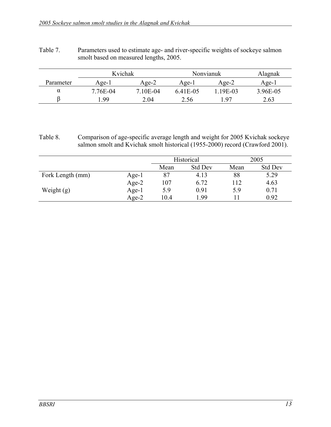| Table 7. | Parameters used to estimate age- and river-specific weights of sockeye salmon |
|----------|-------------------------------------------------------------------------------|
|          | smolt based on measured lengths, 2005.                                        |

|           | Kvichak<br>Nonvianuk |          |         | Alagnak  |          |
|-----------|----------------------|----------|---------|----------|----------|
| Parameter | Age-l                | $A$ ge-2 | Age-1   | $A$ ge-2 | Age-I    |
| α         | 7.76E-04             | 7 10E-04 | 641E-05 | L19E-03  | 3.96E-05 |
|           | -99                  | 2.04     | 2.56    | 97       | 2.63     |

#### Table 8. Comparison of age-specific average length and weight for 2005 Kvichak sockeye salmon smolt and Kvichak smolt historical (1955-2000) record (Crawford 2001).

|                  |          | Historical   |                |      | 2005           |
|------------------|----------|--------------|----------------|------|----------------|
|                  |          | Mean         | <b>Std Dev</b> | Mean | <b>Std Dev</b> |
| Fork Length (mm) | $Age-1$  | 87           | 4.13           | 88   | 5.29           |
|                  | Age-2    | 107          | 6.72           | 112  | 4.63           |
| Weight $(g)$     | Age- $1$ | 5.9          | 0.91           | 5.9  | 0.71           |
|                  | $Age-2$  | 1.99<br>10.4 |                | Ħ    | 0.92           |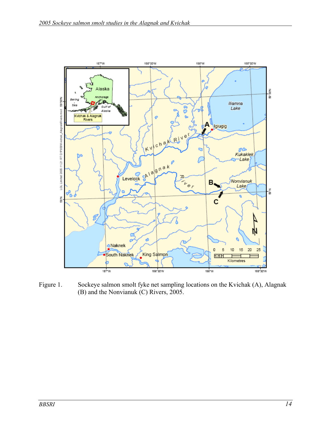

Figure 1. Sockeye salmon smolt fyke net sampling locations on the Kvichak (A), Alagnak (B) and the Nonvianuk (C) Rivers, 2005.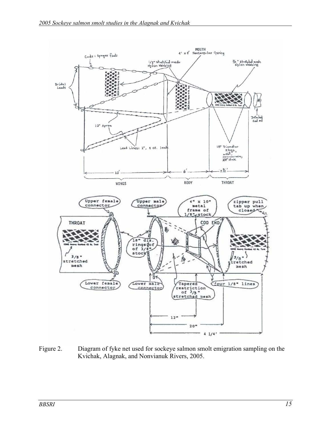

Figure 2. Diagram of fyke net used for sockeye salmon smolt emigration sampling on the Kvichak, Alagnak, and Nonvianuk Rivers, 2005.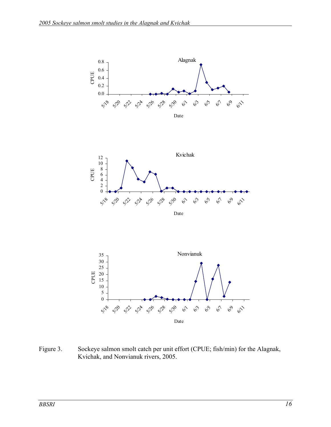

Figure 3. Sockeye salmon smolt catch per unit effort (CPUE; fish/min) for the Alagnak, Kvichak, and Nonvianuk rivers, 2005.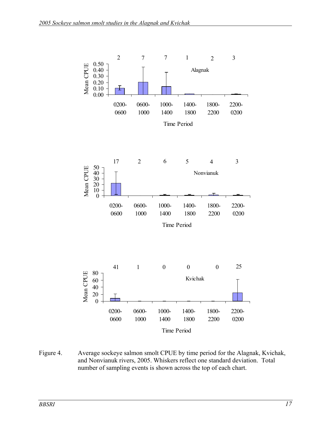

Figure 4. Average sockeye salmon smolt CPUE by time period for the Alagnak, Kvichak, and Nonvianuk rivers, 2005. Whiskers reflect one standard deviation. Total number of sampling events is shown across the top of each chart.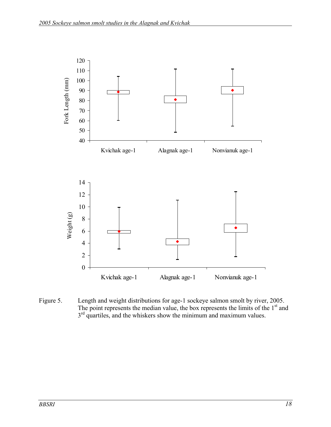

Figure 5. Length and weight distributions for age-1 sockeye salmon smolt by river, 2005. The point represents the median value, the box represents the limits of the  $1<sup>st</sup>$  and  $3<sup>rd</sup>$  quartiles, and the whiskers show the minimum and maximum values.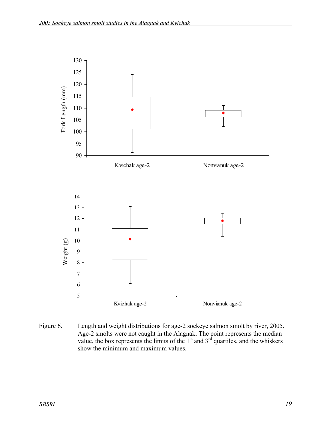

Figure 6. Length and weight distributions for age-2 sockeye salmon smolt by river, 2005. Age-2 smolts were not caught in the Alagnak. The point represents the median value, the box represents the limits of the  $1<sup>st</sup>$  and  $3<sup>rd</sup>$  quartiles, and the whiskers show the minimum and maximum values.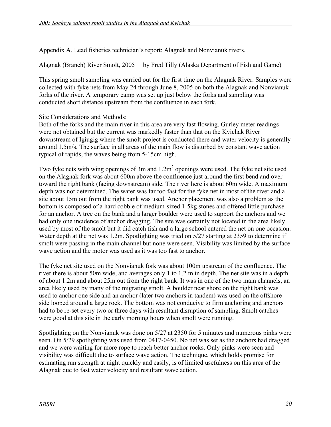Appendix A. Lead fisheries technician's report: Alagnak and Nonvianuk rivers.

Alagnak (Branch) River Smolt, 2005 by Fred Tilly (Alaska Department of Fish and Game)

This spring smolt sampling was carried out for the first time on the Alagnak River. Samples were collected with fyke nets from May 24 through June 8, 2005 on both the Alagnak and Nonvianuk forks of the river. A temporary camp was set up just below the forks and sampling was conducted short distance upstream from the confluence in each fork.

Site Considerations and Methods:

Both of the forks and the main river in this area are very fast flowing. Gurley meter readings were not obtained but the current was markedly faster than that on the Kvichak River downstream of Igiugig where the smolt project is conducted there and water velocity is generally around 1.5m/s. The surface in all areas of the main flow is disturbed by constant wave action typical of rapids, the waves being from 5-15cm high.

Two fyke nets with wing openings of 3m and  $1.2m<sup>2</sup>$  openings were used. The fyke net site used on the Alagnak fork was about 600m above the confluence just around the first bend and over toward the right bank (facing downstream) side. The river here is about 60m wide. A maximum depth was not determined. The water was far too fast for the fyke net in most of the river and a site about 15m out from the right bank was used. Anchor placement was also a problem as the bottom is composed of a hard cobble of medium-sized 1-5kg stones and offered little purchase for an anchor. A tree on the bank and a larger boulder were used to support the anchors and we had only one incidence of anchor dragging. The site was certainly not located in the area likely used by most of the smolt but it did catch fish and a large school entered the net on one occasion. Water depth at the net was 1.2m. Spotlighting was tried on 5/27 starting at 2359 to determine if smolt were passing in the main channel but none were seen. Visibility was limited by the surface wave action and the motor was used as it was too fast to anchor.

The fyke net site used on the Nonvianuk fork was about 100m upstream of the confluence. The river there is about 50m wide, and averages only 1 to 1.2 m in depth. The net site was in a depth of about 1.2m and about 25m out from the right bank. It was in one of the two main channels, an area likely used by many of the migrating smolt. A boulder near shore on the right bank was used to anchor one side and an anchor (later two anchors in tandem) was used on the offshore side looped around a large rock. The bottom was not conducive to firm anchoring and anchors had to be re-set every two or three days with resultant disruption of sampling. Smolt catches were good at this site in the early morning hours when smolt were running.

Spotlighting on the Nonvianuk was done on 5/27 at 2350 for 5 minutes and numerous pinks were seen. On 5/29 spotlighting was used from 0417-0450. No net was set as the anchors had dragged and we were waiting for more rope to reach better anchor rocks. Only pinks were seen and visibility was difficult due to surface wave action. The technique, which holds promise for estimating run strength at night quickly and easily, is of limited usefulness on this area of the Alagnak due to fast water velocity and resultant wave action.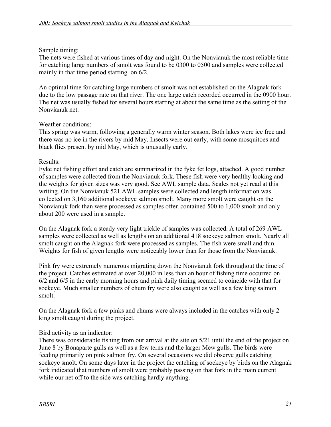#### Sample timing:

The nets were fished at various times of day and night. On the Nonvianuk the most reliable time for catching large numbers of smolt was found to be 0300 to 0500 and samples were collected mainly in that time period starting on 6/2.

An optimal time for catching large numbers of smolt was not established on the Alagnak fork due to the low passage rate on that river. The one large catch recorded occurred in the 0900 hour. The net was usually fished for several hours starting at about the same time as the setting of the Nonvianuk net.

#### Weather conditions:

This spring was warm, following a generally warm winter season. Both lakes were ice free and there was no ice in the rivers by mid May. Insects were out early, with some mosquitoes and black flies present by mid May, which is unusually early.

#### Results:

Fyke net fishing effort and catch are summarized in the fyke fet logs, attached. A good number of samples were collected from the Nonvianuk fork. These fish were very healthy looking and the weights for given sizes was very good. See AWL sample data. Scales not yet read at this writing. On the Nonvianuk 521 AWL samples were collected and length information was collected on 3,160 additional sockeye salmon smolt. Many more smolt were caught on the Nonvianuk fork than were processed as samples often contained 500 to 1,000 smolt and only about 200 were used in a sample.

On the Alagnak fork a steady very light trickle of samples was collected. A total of 269 AWL samples were collected as well as lengths on an additional 418 sockeye salmon smolt. Nearly all smolt caught on the Alagnak fork were processed as samples. The fish were small and thin. Weights for fish of given lengths were noticeably lower than for those from the Nonvianuk.

Pink fry were extremely numerous migrating down the Nonvianuk fork throughout the time of the project. Catches estimated at over 20,000 in less than an hour of fishing time occurred on 6/2 and 6/5 in the early morning hours and pink daily timing seemed to coincide with that for sockeye. Much smaller numbers of chum fry were also caught as well as a few king salmon smolt.

On the Alagnak fork a few pinks and chums were always included in the catches with only 2 king smolt caught during the project.

## Bird activity as an indicator:

There was considerable fishing from our arrival at the site on 5/21 until the end of the project on June 8 by Bonaparte gulls as well as a few terns and the larger Mew gulls. The birds were feeding primarily on pink salmon fry. On several occasions we did observe gulls catching sockeye smolt. On some days later in the project the catching of sockeye by birds on the Alagnak fork indicated that numbers of smolt were probably passing on that fork in the main current while our net off to the side was catching hardly anything.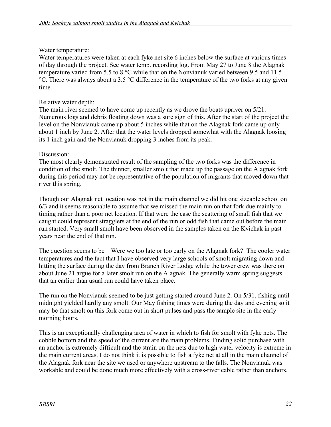#### Water temperature:

Water temperatures were taken at each fyke net site 6 inches below the surface at various times of day through the project. See water temp. recording log. From May 27 to June 8 the Alagnak temperature varied from 5.5 to 8 °C while that on the Nonvianuk varied between 9.5 and 11.5 °C. There was always about a 3.5 °C difference in the temperature of the two forks at any given time.

#### Relative water depth:

The main river seemed to have come up recently as we drove the boats upriver on 5/21. Numerous logs and debris floating down was a sure sign of this. After the start of the project the level on the Nonvianuk came up about 5 inches while that on the Alagnak fork came up only about 1 inch by June 2. After that the water levels dropped somewhat with the Alagnak loosing its 1 inch gain and the Nonvianuk dropping 3 inches from its peak.

#### Discussion:

The most clearly demonstrated result of the sampling of the two forks was the difference in condition of the smolt. The thinner, smaller smolt that made up the passage on the Alagnak fork during this period may not be representative of the population of migrants that moved down that river this spring.

Though our Alagnak net location was not in the main channel we did hit one sizeable school on 6/3 and it seems reasonable to assume that we missed the main run on that fork due mainly to timing rather than a poor net location. If that were the case the scattering of small fish that we caught could represent stragglers at the end of the run or odd fish that came out before the main run started. Very small smolt have been observed in the samples taken on the Kvichak in past years near the end of that run.

The question seems to be – Were we too late or too early on the Alagnak fork? The cooler water temperatures and the fact that I have observed very large schools of smolt migrating down and hitting the surface during the day from Branch River Lodge while the tower crew was there on about June 21 argue for a later smolt run on the Alagnak. The generally warm spring suggests that an earlier than usual run could have taken place.

The run on the Nonvianuk seemed to be just getting started around June 2. On 5/31, fishing until midnight yielded hardly any smolt. Our May fishing times were during the day and evening so it may be that smolt on this fork come out in short pulses and pass the sample site in the early morning hours.

This is an exceptionally challenging area of water in which to fish for smolt with fyke nets. The cobble bottom and the speed of the current are the main problems. Finding solid purchase with an anchor is extremely difficult and the strain on the nets due to high water velocity is extreme in the main current areas. I do not think it is possible to fish a fyke net at all in the main channel of the Alagnak fork near the site we used or anywhere upstream to the falls. The Nonvianuk was workable and could be done much more effectively with a cross-river cable rather than anchors.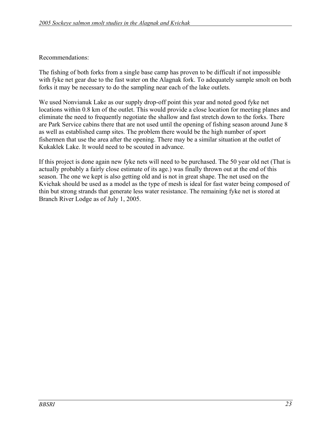#### Recommendations:

The fishing of both forks from a single base camp has proven to be difficult if not impossible with fyke net gear due to the fast water on the Alagnak fork. To adequately sample smolt on both forks it may be necessary to do the sampling near each of the lake outlets.

We used Nonvianuk Lake as our supply drop-off point this year and noted good fyke net locations within 0.8 km of the outlet. This would provide a close location for meeting planes and eliminate the need to frequently negotiate the shallow and fast stretch down to the forks. There are Park Service cabins there that are not used until the opening of fishing season around June 8 as well as established camp sites. The problem there would be the high number of sport fishermen that use the area after the opening. There may be a similar situation at the outlet of Kukaklek Lake. It would need to be scouted in advance.

If this project is done again new fyke nets will need to be purchased. The 50 year old net (That is actually probably a fairly close estimate of its age.) was finally thrown out at the end of this season. The one we kept is also getting old and is not in great shape. The net used on the Kvichak should be used as a model as the type of mesh is ideal for fast water being composed of thin but strong strands that generate less water resistance. The remaining fyke net is stored at Branch River Lodge as of July 1, 2005.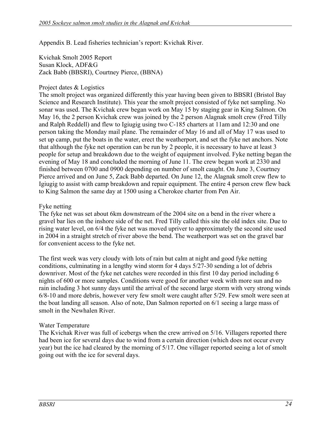Appendix B. Lead fisheries technician's report: Kvichak River.

Kvichak Smolt 2005 Report Susan Klock, ADF&G Zack Babb (BBSRI), Courtney Pierce, (BBNA)

#### Project dates & Logistics

The smolt project was organized differently this year having been given to BBSRI (Bristol Bay Science and Research Institute). This year the smolt project consisted of fyke net sampling. No sonar was used. The Kvichak crew began work on May 15 by staging gear in King Salmon. On May 16, the 2 person Kvichak crew was joined by the 2 person Alagnak smolt crew (Fred Tilly and Ralph Reddell) and flew to Igiugig using two C-185 charters at 11am and 12:30 and one person taking the Monday mail plane. The remainder of May 16 and all of May 17 was used to set up camp, put the boats in the water, erect the weatherport, and set the fyke net anchors. Note that although the fyke net operation can be run by 2 people, it is necessary to have at least 3 people for setup and breakdown due to the weight of equipment involved. Fyke netting began the evening of May 18 and concluded the morning of June 11. The crew began work at 2330 and finished between 0700 and 0900 depending on number of smolt caught. On June 3, Courtney Pierce arrived and on June 5, Zack Babb departed. On June 12, the Alagnak smolt crew flew to Igiugig to assist with camp breakdown and repair equipment. The entire 4 person crew flew back to King Salmon the same day at 1500 using a Cherokee charter from Pen Air.

#### Fyke netting

The fyke net was set about 6km downstream of the 2004 site on a bend in the river where a gravel bar lies on the inshore side of the net. Fred Tilly called this site the old index site. Due to rising water level, on 6/4 the fyke net was moved upriver to approximately the second site used in 2004 in a straight stretch of river above the bend. The weatherport was set on the gravel bar for convenient access to the fyke net.

The first week was very cloudy with lots of rain but calm at night and good fyke netting conditions, culminating in a lengthy wind storm for 4 days 5/27-30 sending a lot of debris downriver. Most of the fyke net catches were recorded in this first 10 day period including 6 nights of 600 or more samples. Conditions were good for another week with more sun and no rain including 3 hot sunny days until the arrival of the second large storm with very strong winds 6/8-10 and more debris, however very few smolt were caught after 5/29. Few smolt were seen at the boat landing all season. Also of note, Dan Salmon reported on 6/1 seeing a large mass of smolt in the Newhalen River.

#### Water Temperature

The Kvichak River was full of icebergs when the crew arrived on 5/16. Villagers reported there had been ice for several days due to wind from a certain direction (which does not occur every year) but the ice had cleared by the morning of 5/17. One villager reported seeing a lot of smolt going out with the ice for several days.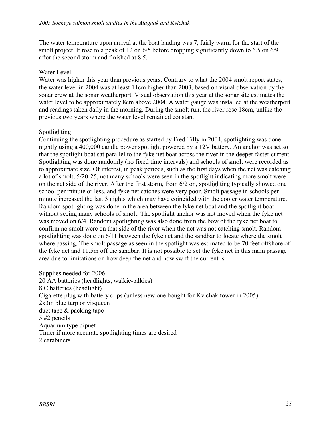The water temperature upon arrival at the boat landing was 7, fairly warm for the start of the smolt project. It rose to a peak of 12 on 6/5 before dropping significantly down to 6.5 on 6/9 after the second storm and finished at 8.5.

### Water Level

Water was higher this year than previous years. Contrary to what the 2004 smolt report states, the water level in 2004 was at least 11cm higher than 2003, based on visual observation by the sonar crew at the sonar weatherport. Visual observation this year at the sonar site estimates the water level to be approximately 8cm above 2004. A water gauge was installed at the weatherport and readings taken daily in the morning. During the smolt run, the river rose 18cm, unlike the previous two years where the water level remained constant.

## Spotlighting

Continuing the spotlighting procedure as started by Fred Tilly in 2004, spotlighting was done nightly using a 400,000 candle power spotlight powered by a 12V battery. An anchor was set so that the spotlight boat sat parallel to the fyke net boat across the river in the deeper faster current. Spotlighting was done randomly (no fixed time intervals) and schools of smolt were recorded as to approximate size. Of interest, in peak periods, such as the first days when the net was catching a lot of smolt, 5/20-25, not many schools were seen in the spotlight indicating more smolt were on the net side of the river. After the first storm, from 6/2 on, spotlighting typically showed one school per minute or less, and fyke net catches were very poor. Smolt passage in schools per minute increased the last 3 nights which may have coincided with the cooler water temperature. Random spotlighting was done in the area between the fyke net boat and the spotlight boat without seeing many schools of smolt. The spotlight anchor was not moved when the fyke net was moved on 6/4. Random spotlighting was also done from the bow of the fyke net boat to confirm no smolt were on that side of the river when the net was not catching smolt. Random spotlighting was done on 6/11 between the fyke net and the sandbar to locate where the smolt where passing. The smolt passage as seen in the spotlight was estimated to be 70 feet offshore of the fyke net and 11.5m off the sandbar. It is not possible to set the fyke net in this main passage area due to limitations on how deep the net and how swift the current is.

Supplies needed for 2006: 20 AA batteries (headlights, walkie-talkies) 8 C batteries (headlight) Cigarette plug with battery clips (unless new one bought for Kvichak tower in 2005) 2x3m blue tarp or visqueen duct tape & packing tape 5 #2 pencils Aquarium type dipnet Timer if more accurate spotlighting times are desired 2 carabiners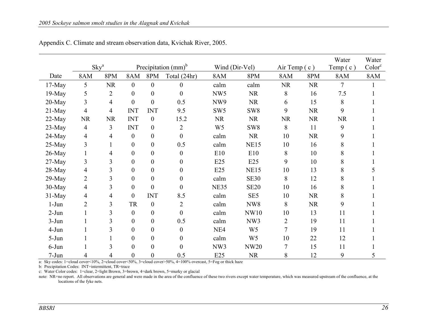|           |                          |           |                  |                  |                               |                 |                 |           |              | Water          | Water              |
|-----------|--------------------------|-----------|------------------|------------------|-------------------------------|-----------------|-----------------|-----------|--------------|----------------|--------------------|
|           | $\rm Skv^a$              |           |                  |                  | Precipitation $\text{(mm)}^b$ |                 | Wind (Dir-Vel)  |           | Air Temp (c) | Temp $(c)$     | Color <sup>c</sup> |
| Date      | 8AM                      | 8PM       | 8AM              | 8PM              | Total (24hr)                  | 8AM             | 8PM             | 8AM       | 8PM          | 8AM            | 8AM                |
| $17-May$  | 5                        | <b>NR</b> | $\boldsymbol{0}$ | $\boldsymbol{0}$ | $\overline{0}$                | calm            | calm            | <b>NR</b> | <b>NR</b>    | $\overline{7}$ |                    |
| $19-May$  | 5                        | 2         | $\boldsymbol{0}$ | $\boldsymbol{0}$ | $\theta$                      | NW <sub>5</sub> | <b>NR</b>       | 8         | 16           | 7.5            |                    |
| $20$ -May | $\overline{\mathbf{3}}$  | 4         | $\boldsymbol{0}$ | $\boldsymbol{0}$ | 0.5                           | NW9             | <b>NR</b>       | 6         | 15           | 8              |                    |
| $21$ -May | 4                        | 4         | <b>INT</b>       | <b>INT</b>       | 9.5                           | SW <sub>5</sub> | SW <sub>8</sub> | 9         | <b>NR</b>    | 9              |                    |
| $22-May$  | NR                       | <b>NR</b> | <b>INT</b>       | $\boldsymbol{0}$ | 15.2                          | <b>NR</b>       | <b>NR</b>       | <b>NR</b> | <b>NR</b>    | <b>NR</b>      |                    |
| $23-May$  | 4                        | 3         | <b>INT</b>       | $\boldsymbol{0}$ | $\overline{2}$                | W <sub>5</sub>  | SW <sub>8</sub> | 8         | 11           | 9              |                    |
| $24$ -May | 4                        | 4         | $\boldsymbol{0}$ | $\boldsymbol{0}$ | $\overline{0}$                | calm            | <b>NR</b>       | 10        | <b>NR</b>    | 9              |                    |
| $25-May$  | $\overline{\mathbf{3}}$  |           | $\boldsymbol{0}$ | $\boldsymbol{0}$ | 0.5                           | calm            | <b>NE15</b>     | 10        | 16           | 8              |                    |
| $26$ -May |                          | 4         | $\boldsymbol{0}$ | $\boldsymbol{0}$ | $\theta$                      | E10             | E10             | 8         | 10           | 8              |                    |
| $27-May$  | 3                        | 3         | $\boldsymbol{0}$ | $\boldsymbol{0}$ | $\boldsymbol{0}$              | E25             | E25             | 9         | 10           | 8              |                    |
| 28-May    | $\overline{\mathcal{A}}$ | 3         | $\boldsymbol{0}$ | $\boldsymbol{0}$ | $\overline{0}$                | E25             | <b>NE15</b>     | 10        | 13           | 8              |                    |
| $29$ -May | $\overline{2}$           | 3         | $\boldsymbol{0}$ | $\boldsymbol{0}$ | $\boldsymbol{0}$              | calm            | <b>SE30</b>     | 8         | 12           | 8              |                    |
| 30-May    | 4                        | 3         | $\boldsymbol{0}$ | $\boldsymbol{0}$ | $\theta$                      | <b>NE35</b>     | <b>SE20</b>     | 10        | 16           | 8              |                    |
| $31$ -May | 4                        | 4         | $\boldsymbol{0}$ | <b>INT</b>       | 8.5                           | calm            | SE <sub>5</sub> | 10        | <b>NR</b>    | 8              |                    |
| $1-Jun$   | $\overline{2}$           | 3         | <b>TR</b>        | $\boldsymbol{0}$ | $\overline{2}$                | calm            | NW8             | 8         | <b>NR</b>    | 9              |                    |
| $2-Jun$   |                          | 3         | $\mathbf{0}$     | $\boldsymbol{0}$ | $\overline{0}$                | calm            | <b>NW10</b>     | 10        | 13           | 11             |                    |
| $3-Jun$   |                          | 3         | $\boldsymbol{0}$ | $\boldsymbol{0}$ | 0.5                           | calm            | NW3             | 2         | 19           | 11             |                    |
| $4-Jun$   |                          | 3         | $\boldsymbol{0}$ | $\boldsymbol{0}$ | $\boldsymbol{0}$              | NE4             | W <sub>5</sub>  | 7         | 19           | 11             |                    |
| $5-Jun$   |                          |           | $\boldsymbol{0}$ | $\boldsymbol{0}$ | $\overline{0}$                | calm            | W <sub>5</sub>  | 10        | 22           | 12             |                    |
| $6$ -Jun  |                          | 3         | $\boldsymbol{0}$ | $\boldsymbol{0}$ | $\theta$                      | NW3             | <b>NW20</b>     | 7         | 15           | 11             |                    |
| $7-Jun$   |                          |           | $\overline{0}$   | $\boldsymbol{0}$ | 0.5                           | E25             | <b>NR</b>       | 8         | 12           | 9              |                    |

Appendix C. Climate and stream observation data, Kvichak River, 2005.

a: Sky codes: 1=cloud cover<10%, 2=cloud cover<50%, 3=cloud cover>50%, 4=100% overcast, 5=Fog or thick haze

b: Precipitation Codes: INT=intermittent, TR=trace

c: Water Color codes: 1=clear, 2=light Brown, 3=brown, 4=dark brown, 5=murky or glacial

note: NR=no report. All observations are general and were made in the area of the confluence of these two rivers except water temperature, which was measured upstream of the confluence, at the locations of the fyke nets.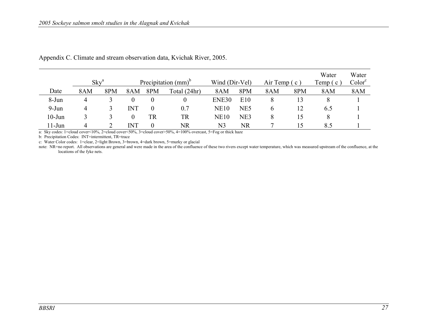|           | $Skv^a$ |             |            |           | Precipitation $(mm)^b$ | Wind (Dir-Vel) |     | Air Temp $(c)$ |     | Water<br>Temp $(c)$ | Water<br>Color <sup>c</sup> |
|-----------|---------|-------------|------------|-----------|------------------------|----------------|-----|----------------|-----|---------------------|-----------------------------|
| Date      | 8AM     | 8PM         | 8AM        | 8PM       | Total (24hr)           | 8AM            | 8PM | 8AM            | 8PM | 8AM                 | 8AM                         |
| 8-Jun     | 4       |             | $\theta$   | $\theta$  |                        | ENE30          | E10 | 8              |     |                     |                             |
| $9-Jun$   | 4       | J.          | <b>INT</b> | $\theta$  | 0.7                    | <b>NE10</b>    | NE5 | O              | 12  | 6.5                 |                             |
| $10-J$ un |         | $\ddotmark$ | $\theta$   | <b>TR</b> | <b>TR</b>              | <b>NE10</b>    | NE3 | 8              | 15  | 8                   |                             |
| $11$ -Jun | 4       |             | <b>INT</b> | $\theta$  | NR                     | N3             | NR  |                | 15  | 8.5                 |                             |

Appendix C. Climate and stream observation data, Kvichak River, 2005.

a: Sky codes: 1=cloud cover<10%, 2=cloud cover<50%, 3=cloud cover>50%, 4=100% overcast, 5=Fog or thick haze

b: Precipitation Codes: INT=intermittent, TR=trace

c: Water Color codes: 1=clear, 2=light Brown, 3=brown, 4=dark brown, 5=murky or glacial

note: NR=no report. All observations are general and were made in the area of the confluence of these two rivers except water temperature, which was measured upstream of the confluence, at the locations of the fyke nets.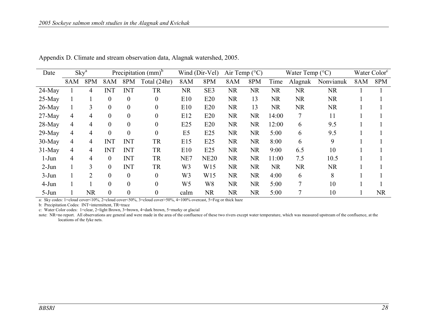| Date      | Sky <sup>a</sup> |                | Precipitation $\text{(mm)}^b$ |                  |                  | Wind (Dir-Vel)<br>Air Temp $(^{\circ}C)$ |                 |           |           | Water Temp $(^{\circ}C)$ | Water Color <sup>c</sup> |           |     |           |
|-----------|------------------|----------------|-------------------------------|------------------|------------------|------------------------------------------|-----------------|-----------|-----------|--------------------------|--------------------------|-----------|-----|-----------|
|           | 8AM              | 8PM            | 8AM                           | 8PM              | Total (24hr)     | 8AM                                      | 8PM             | 8AM       | 8PM       | Time                     | Alagnak                  | Nonvianuk | 8AM | 8PM       |
| $24$ -May |                  | 4              | INT                           | INT              | <b>TR</b>        | <b>NR</b>                                | SE3             | <b>NR</b> | <b>NR</b> | <b>NR</b>                | NR.                      | <b>NR</b> |     |           |
| $25-May$  |                  |                | $\boldsymbol{0}$              | $\boldsymbol{0}$ | $\theta$         | E10                                      | E20             | <b>NR</b> | 13        | <b>NR</b>                | <b>NR</b>                | <b>NR</b> |     |           |
| $26$ -May |                  | 3              | $\overline{0}$                | $\overline{0}$   | $\overline{0}$   | E10                                      | E20             | <b>NR</b> | 13        | <b>NR</b>                | <b>NR</b>                | <b>NR</b> |     |           |
| $27$ -May | 4                | 4              | $\overline{0}$                | $\boldsymbol{0}$ | $\boldsymbol{0}$ | E12                                      | E20             | <b>NR</b> | <b>NR</b> | 14:00                    | 7                        | 11        |     |           |
| $28-May$  | 4                | 4              | $\theta$                      | $\theta$         | $\theta$         | E25                                      | E20             | <b>NR</b> | <b>NR</b> | 12:00                    | 6                        | 9.5       |     |           |
| $29$ -May | 4                | 4              | $\overline{0}$                | $\overline{0}$   | $\overline{0}$   | E <sub>5</sub>                           | E25             | <b>NR</b> | <b>NR</b> | 5:00                     | 6                        | 9.5       |     |           |
| $30-May$  | 4                | 4              | <b>INT</b>                    | <b>INT</b>       | <b>TR</b>        | E15                                      | E25             | <b>NR</b> | <b>NR</b> | 8:00                     | 6                        | 9         |     |           |
| $31$ -May | 4                | 4              | <b>INT</b>                    | <b>INT</b>       | <b>TR</b>        | E10                                      | E25             | <b>NR</b> | <b>NR</b> | 9:00                     | 6.5                      | 10        |     |           |
| $1-J$ un  | 4                | 4              | $\overline{0}$                | <b>INT</b>       | <b>TR</b>        | NE7                                      | <b>NE20</b>     | <b>NR</b> | <b>NR</b> | 11:00                    | 7.5                      | 10.5      |     |           |
| $2-Jun$   |                  | 3              | $\theta$                      | <b>INT</b>       | TR               | W3                                       | W15             | <b>NR</b> | <b>NR</b> | <b>NR</b>                | <b>NR</b>                | <b>NR</b> |     |           |
| $3-Jun$   |                  | $\mathfrak{D}$ | $\theta$                      | $\theta$         | $\theta$         | W3                                       | W <sub>15</sub> | <b>NR</b> | <b>NR</b> | 4:00                     | 6                        | 8         |     |           |
| $4-Jun$   |                  |                | $\theta$                      | $\overline{0}$   | $\theta$         | W5                                       | W <sub>8</sub>  | <b>NR</b> | <b>NR</b> | 5:00                     | 7                        | 10        |     |           |
| $5-Jun$   |                  | <b>NR</b>      | $\overline{0}$                | $\theta$         | $\boldsymbol{0}$ | calm                                     | <b>NR</b>       | <b>NR</b> | <b>NR</b> | 5:00                     | 7                        | 10        |     | <b>NR</b> |

Appendix D. Climate and stream observation data, Alagnak watershed, 2005.

a: Sky codes: 1=cloud cover<10%, 2=cloud cover<50%, 3=cloud cover>50%, 4=100% overcast, 5=Fog or thick haze

b: Precipitation Codes: INT=intermittent, TR=trace

c: Water Color codes: 1=clear, 2=light Brown, 3=brown, 4=dark brown, 5=murky or glacial

note: NR=no report. All observations are general and were made in the area of the confluence of these two rivers except water temperature, which was measured upstream of the confluence, at the locations of the fyke nets.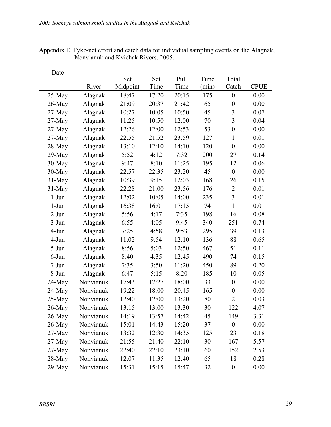| Date      |           |          |       |       |       |                  |             |
|-----------|-----------|----------|-------|-------|-------|------------------|-------------|
|           |           | Set      | Set   | Pull  | Time  | Total            |             |
|           | River     | Midpoint | Time  | Time  | (min) | Catch            | <b>CPUE</b> |
| $25-May$  | Alagnak   | 18:47    | 17:20 | 20:15 | 175   | $\boldsymbol{0}$ | 0.00        |
| $26$ -May | Alagnak   | 21:09    | 20:37 | 21:42 | 65    | $\boldsymbol{0}$ | 0.00        |
| $27-May$  | Alagnak   | 10:27    | 10:05 | 10:50 | 45    | 3                | 0.07        |
| $27-May$  | Alagnak   | 11:25    | 10:50 | 12:00 | 70    | 3                | 0.04        |
| $27-May$  | Alagnak   | 12:26    | 12:00 | 12:53 | 53    | $\boldsymbol{0}$ | 0.00        |
| $27$ -May | Alagnak   | 22:55    | 21:52 | 23:59 | 127   | $\mathbf{1}$     | 0.01        |
| 28-May    | Alagnak   | 13:10    | 12:10 | 14:10 | 120   | $\boldsymbol{0}$ | 0.00        |
| 29-May    | Alagnak   | 5:52     | 4:12  | 7:32  | 200   | 27               | 0.14        |
| 30-May    | Alagnak   | 9:47     | 8:10  | 11:25 | 195   | 12               | 0.06        |
| 30-May    | Alagnak   | 22:57    | 22:35 | 23:20 | 45    | $\boldsymbol{0}$ | 0.00        |
| $31$ -May | Alagnak   | 10:39    | 9:15  | 12:03 | 168   | 26               | 0.15        |
| $31-May$  | Alagnak   | 22:28    | 21:00 | 23:56 | 176   | $\overline{2}$   | 0.01        |
| $1-J$ un  | Alagnak   | 12:02    | 10:05 | 14:00 | 235   | 3                | 0.01        |
| $1-J$ un  | Alagnak   | 16:38    | 16:01 | 17:15 | 74    | $\mathbf{1}$     | 0.01        |
| $2-Jun$   | Alagnak   | 5:56     | 4:17  | 7:35  | 198   | 16               | 0.08        |
| $3-Jun$   | Alagnak   | 6:55     | 4:05  | 9:45  | 340   | 251              | 0.74        |
| 4-Jun     | Alagnak   | 7:25     | 4:58  | 9:53  | 295   | 39               | 0.13        |
| 4-Jun     | Alagnak   | 11:02    | 9:54  | 12:10 | 136   | 88               | 0.65        |
| 5-Jun     | Alagnak   | 8:56     | 5:03  | 12:50 | 467   | 51               | 0.11        |
| $6$ -Jun  | Alagnak   | 8:40     | 4:35  | 12:45 | 490   | 74               | 0.15        |
| $7-Jun$   | Alagnak   | 7:35     | 3:50  | 11:20 | 450   | 89               | 0.20        |
| 8-Jun     | Alagnak   | 6:47     | 5:15  | 8:20  | 185   | 10               | 0.05        |
| 24-May    | Nonvianuk | 17:43    | 17:27 | 18:00 | 33    | $\boldsymbol{0}$ | 0.00        |
| $24$ -May | Nonvianuk | 19:22    | 18:00 | 20:45 | 165   | $\boldsymbol{0}$ | 0.00        |
| $25-May$  | Nonvianuk | 12:40    | 12:00 | 13:20 | 80    | $\overline{2}$   | 0.03        |
| 26-May    | Nonvianuk | 13:15    | 13:00 | 13:30 | 30    | 122              | 4.07        |
| 26-May    | Nonvianuk | 14:19    | 13:57 | 14:42 | 45    | 149              | 3.31        |
| 26-May    | Nonvianuk | 15:01    | 14:43 | 15:20 | 37    | $\boldsymbol{0}$ | 0.00        |
| 27-May    | Nonvianuk | 13:32    | 12:30 | 14:35 | 125   | 23               | 0.18        |
| $27-May$  | Nonvianuk | 21:55    | 21:40 | 22:10 | 30    | 167              | 5.57        |
| $27-May$  | Nonvianuk | 22:40    | 22:10 | 23:10 | 60    | 152              | 2.53        |
| 28-May    | Nonvianuk | 12:07    | 11:35 | 12:40 | 65    | 18               | 0.28        |
| 29-May    | Nonvianuk | 15:31    | 15:15 | 15:47 | 32    | $\boldsymbol{0}$ | 0.00        |

Appendix E. Fyke-net effort and catch data for individual sampling events on the Alagnak, Nonvianuk and Kvichak Rivers, 2005.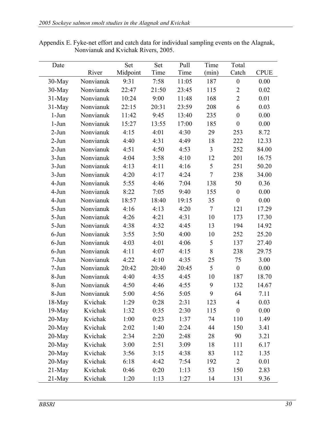| Date      |           | Set      | Set   | Pull  | Time           | Total            |             |
|-----------|-----------|----------|-------|-------|----------------|------------------|-------------|
|           | River     | Midpoint | Time  | Time  | (min)          | Catch            | <b>CPUE</b> |
| $30$ -May | Nonvianuk | 9:31     | 7:58  | 11:05 | 187            | $\boldsymbol{0}$ | 0.00        |
| 30-May    | Nonvianuk | 22:47    | 21:50 | 23:45 | 115            | $\overline{2}$   | 0.02        |
| $31-May$  | Nonvianuk | 10:24    | 9:00  | 11:48 | 168            | $\overline{2}$   | 0.01        |
| $31$ -May | Nonvianuk | 22:15    | 20:31 | 23:59 | 208            | 6                | 0.03        |
| $1-Jun$   | Nonvianuk | 11:42    | 9:45  | 13:40 | 235            | $\boldsymbol{0}$ | 0.00        |
| $1-Jun$   | Nonvianuk | 15:27    | 13:55 | 17:00 | 185            | $\boldsymbol{0}$ | 0.00        |
| $2-Jun$   | Nonvianuk | 4:15     | 4:01  | 4:30  | 29             | 253              | 8.72        |
| $2-Jun$   | Nonvianuk | 4:40     | 4:31  | 4:49  | 18             | 222              | 12.33       |
| $2-Jun$   | Nonvianuk | 4:51     | 4:50  | 4:53  | $\mathfrak{Z}$ | 252              | 84.00       |
| $3-Jun$   | Nonvianuk | 4:04     | 3:58  | 4:10  | 12             | 201              | 16.75       |
| $3-Jun$   | Nonvianuk | 4:13     | 4:11  | 4:16  | 5              | 251              | 50.20       |
| $3-Jun$   | Nonvianuk | 4:20     | 4:17  | 4:24  | $\overline{7}$ | 238              | 34.00       |
| 4-Jun     | Nonvianuk | 5:55     | 4:46  | 7:04  | 138            | 50               | 0.36        |
| $4-Jun$   | Nonvianuk | 8:22     | 7:05  | 9:40  | 155            | $\boldsymbol{0}$ | 0.00        |
| 4-Jun     | Nonvianuk | 18:57    | 18:40 | 19:15 | 35             | $\boldsymbol{0}$ | 0.00        |
| $5-Jun$   | Nonvianuk | 4:16     | 4:13  | 4:20  | $\tau$         | 121              | 17.29       |
| $5-Jun$   | Nonvianuk | 4:26     | 4:21  | 4:31  | 10             | 173              | 17.30       |
| $5-Jun$   | Nonvianuk | 4:38     | 4:32  | 4:45  | 13             | 194              | 14.92       |
| $6$ -Jun  | Nonvianuk | 3:55     | 3:50  | 4:00  | 10             | 252              | 25.20       |
| $6$ -Jun  | Nonvianuk | 4:03     | 4:01  | 4:06  | 5              | 137              | 27.40       |
| $6$ -Jun  | Nonvianuk | 4:11     | 4:07  | 4:15  | 8              | 238              | 29.75       |
| $7-Jun$   | Nonvianuk | 4:22     | 4:10  | 4:35  | 25             | 75               | 3.00        |
| $7-Jun$   | Nonvianuk | 20:42    | 20:40 | 20:45 | 5              | $\boldsymbol{0}$ | 0.00        |
| 8-Jun     | Nonvianuk | 4:40     | 4:35  | 4:45  | 10             | 187              | 18.70       |
| 8-Jun     | Nonvianuk | 4:50     | 4:46  | 4:55  | 9              | 132              | 14.67       |
| 8-Jun     | Nonvianuk | 5:00     | 4:56  | 5:05  | 9              | 64               | 7.11        |
| $18$ -May | Kvichak   | 1:29     | 0:28  | 2:31  | 123            | $\overline{4}$   | 0.03        |
| $19$ -May | Kvichak   | 1:32     | 0:35  | 2:30  | 115            | $\boldsymbol{0}$ | 0.00        |
| 20-May    | Kvichak   | 1:00     | 0:23  | 1:37  | 74             | 110              | 1.49        |
| $20$ -May | Kvichak   | 2:02     | 1:40  | 2:24  | 44             | 150              | 3.41        |
| 20-May    | Kvichak   | 2:34     | 2:20  | 2:48  | 28             | 90               | 3.21        |
| 20-May    | Kvichak   | 3:00     | 2:51  | 3:09  | 18             | 111              | 6.17        |
| $20$ -May | Kvichak   | 3:56     | 3:15  | 4:38  | 83             | 112              | 1.35        |
| 20-May    | Kvichak   | 6:18     | 4:42  | 7:54  | 192            | $\overline{2}$   | 0.01        |
| $21-May$  | Kvichak   | 0:46     | 0:20  | 1:13  | 53             | 150              | 2.83        |
| $21$ -May | Kvichak   | 1:20     | 1:13  | 1:27  | 14             | 131              | 9.36        |

Appendix E. Fyke-net effort and catch data for individual sampling events on the Alagnak, Nonvianuk and Kvichak Rivers, 2005.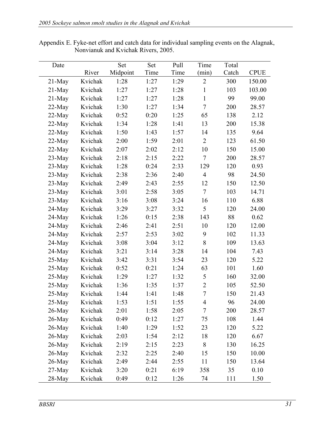| Date      |         | Set      | Set  | Pull | Time           | Total |             |
|-----------|---------|----------|------|------|----------------|-------|-------------|
|           | River   | Midpoint | Time | Time | (min)          | Catch | <b>CPUE</b> |
| $21$ -May | Kvichak | 1:28     | 1:27 | 1:29 | $\overline{2}$ | 300   | 150.00      |
| $21$ -May | Kvichak | 1:27     | 1:27 | 1:28 | $\mathbf{1}$   | 103   | 103.00      |
| $21$ -May | Kvichak | 1:27     | 1:27 | 1:28 | $\mathbf{1}$   | 99    | 99.00       |
| $22-May$  | Kvichak | 1:30     | 1:27 | 1:34 | $\overline{7}$ | 200   | 28.57       |
| $22-May$  | Kvichak | 0:52     | 0:20 | 1:25 | 65             | 138   | 2.12        |
| $22-May$  | Kvichak | 1:34     | 1:28 | 1:41 | 13             | 200   | 15.38       |
| $22-May$  | Kvichak | 1:50     | 1:43 | 1:57 | 14             | 135   | 9.64        |
| $22-May$  | Kvichak | 2:00     | 1:59 | 2:01 | $\overline{2}$ | 123   | 61.50       |
| $22-May$  | Kvichak | 2:07     | 2:02 | 2:12 | 10             | 150   | 15.00       |
| $23-May$  | Kvichak | 2:18     | 2:15 | 2:22 | $\overline{7}$ | 200   | 28.57       |
| $23-May$  | Kvichak | 1:28     | 0:24 | 2:33 | 129            | 120   | 0.93        |
| $23-May$  | Kvichak | 2:38     | 2:36 | 2:40 | $\overline{4}$ | 98    | 24.50       |
| $23-May$  | Kvichak | 2:49     | 2:43 | 2:55 | 12             | 150   | 12.50       |
| $23$ -May | Kvichak | 3:01     | 2:58 | 3:05 | $\overline{7}$ | 103   | 14.71       |
| $23-May$  | Kvichak | 3:16     | 3:08 | 3:24 | 16             | 110   | 6.88        |
| $24$ -May | Kvichak | 3:29     | 3:27 | 3:32 | 5              | 120   | 24.00       |
| $24$ -May | Kvichak | 1:26     | 0:15 | 2:38 | 143            | 88    | 0.62        |
| $24$ -May | Kvichak | 2:46     | 2:41 | 2:51 | 10             | 120   | 12.00       |
| $24$ -May | Kvichak | 2:57     | 2:53 | 3:02 | 9              | 102   | 11.33       |
| $24$ -May | Kvichak | 3:08     | 3:04 | 3:12 | 8              | 109   | 13.63       |
| $24$ -May | Kvichak | 3:21     | 3:14 | 3:28 | 14             | 104   | 7.43        |
| $25$ -May | Kvichak | 3:42     | 3:31 | 3:54 | 23             | 120   | 5.22        |
| $25-May$  | Kvichak | 0:52     | 0:21 | 1:24 | 63             | 101   | 1.60        |
| $25$ -May | Kvichak | 1:29     | 1:27 | 1:32 | 5              | 160   | 32.00       |
| $25-May$  | Kvichak | 1:36     | 1:35 | 1:37 | $\overline{2}$ | 105   | 52.50       |
| 25-May    | Kvichak | 1:44     | 1:41 | 1:48 | $\overline{7}$ | 150   | 21.43       |
| 25-May    | Kvichak | 1:53     | 1:51 | 1:55 | 4              | 96    | 24.00       |
| $26$ -May | Kvichak | 2:01     | 1:58 | 2:05 | 7              | 200   | 28.57       |
| $26$ -May | Kvichak | 0:49     | 0:12 | 1:27 | 75             | 108   | 1.44        |
| $26$ -May | Kvichak | 1:40     | 1:29 | 1:52 | 23             | 120   | 5.22        |
| $26$ -May | Kvichak | 2:03     | 1:54 | 2:12 | 18             | 120   | 6.67        |
| $26$ -May | Kvichak | 2:19     | 2:15 | 2:23 | 8              | 130   | 16.25       |
| $26$ -May | Kvichak | 2:32     | 2:25 | 2:40 | 15             | 150   | 10.00       |
| $26$ -May | Kvichak | 2:49     | 2:44 | 2:55 | 11             | 150   | 13.64       |
| $27$ -May | Kvichak | 3:20     | 0:21 | 6:19 | 358            | 35    | 0.10        |
| 28-May    | Kvichak | 0:49     | 0:12 | 1:26 | 74             | 111   | 1.50        |

Appendix E. Fyke-net effort and catch data for individual sampling events on the Alagnak, Nonvianuk and Kvichak Rivers, 2005.